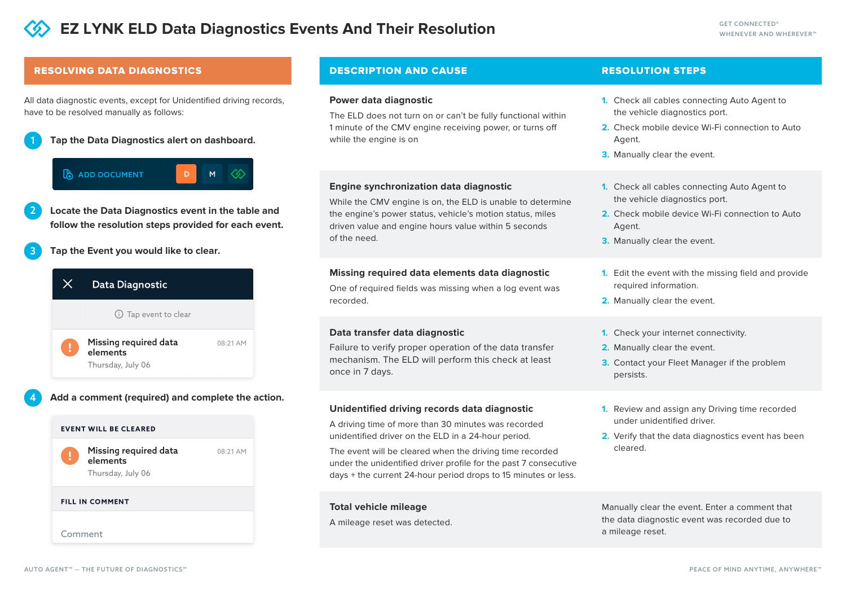# RESOLVING DATA DIAGNOSTICS **Example 20 DESCRIPTION AND CAUSE**

All data diagnostic events, except for Unidentified driving records, have to be resolved manually as follows:

**Tap the Data Diagnostics alert on dashboard.** 1

# ADD DOCUMENT

2

4

**Locate the Data Diagnostics event in the table and follow the resolution steps provided for each event.**

D.

**Tap the Event you would like to clear.** 3

# Data Diagnostic  $\times$

(i) Tap event to clear

Missing required data 08:21 AM elements Thursday, July 06

# **Add a comment (required) and complete the action.**





#### **FILL IN COMMENT**

Comment

### **Power data diagnostic**

The ELD does not turn on or can't be fully functional within 1 minute of the CMV engine receiving power, or turns off while the engine is on

# **Engine synchronization data diagnostic**

While the CMV engine is on, the ELD is unable to determine the engine's power status, vehicle's motion status, miles driven value and engine hours value within 5 seconds of the need.

# **Missing required data elements data diagnostic**

One of required fields was missing when a log event was recorded.

# **Data transfer data diagnostic**

Failure to verify proper operation of the data transfer mechanism. The ELD will perform this check at least once in 7 days.

# **Unidentified driving records data diagnostic**

A driving time of more than 30 minutes was recorded unidentified driver on the ELD in a 24-hour period.

The event will be cleared when the driving time recorded under the unidentified driver profile for the past 7 consecutive days + the current 24-hour period drops to 15 minutes or less.

# **Total vehicle mileage**

A mileage reset was detected.

# RESOLUTION STEPS

- 1. Check all cables connecting Auto Agent to the vehicle diagnostics port.
- 2. Check mobile device Wi-Fi connection to Auto Agent.
- **3.** Manually clear the event.
- **1.** Check all cables connecting Auto Agent to the vehicle diagnostics port.
- **2.** Check mobile device Wi-Fi connection to Auto Agent.
- **3.** Manually clear the event.
- Edit the event with the missing field and provide **1.** required information.
- 2. Manually clear the event.
- **1.** Check your internet connectivity.
- **2.** Manually clear the event.
- **3.** Contact your Fleet Manager if the problem persists.
- 1. Review and assign any Driving time recorded under unidentified driver.
- 2. Verify that the data diagnostics event has been cleared.

Manually clear the event. Enter a comment that the data diagnostic event was recorded due to a mileage reset.